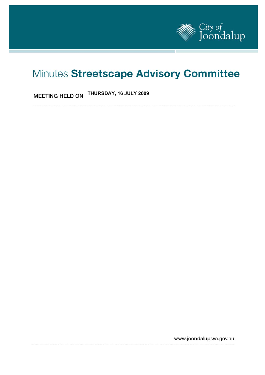

# Minutes Streetscape Advisory Committee

# **THURSDAY, 16 JULY 2009**

----------------------------------------------

www.joondalup.wa.gov.au

---------------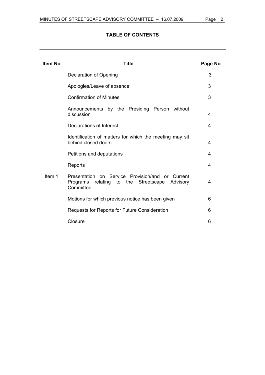# **TABLE OF CONTENTS**

| <b>Item No</b> | Title                                                                                                                | Page No |
|----------------|----------------------------------------------------------------------------------------------------------------------|---------|
|                | Declaration of Opening                                                                                               | 3       |
|                | Apologies/Leave of absence                                                                                           | 3       |
|                | <b>Confirmation of Minutes</b>                                                                                       | 3       |
|                | Announcements by the Presiding Person without<br>discussion                                                          | 4       |
|                | Declarations of Interest                                                                                             | 4       |
|                | Identification of matters for which the meeting may sit<br>behind closed doors                                       | 4       |
|                | Petitions and deputations                                                                                            | 4       |
|                | Reports                                                                                                              | 4       |
| Item 1         | Presentation on Service Provision/and or Current<br>relating to the Streetscape<br>Programs<br>Advisory<br>Committee | 4       |
|                | Motions for which previous notice has been given                                                                     | 6       |
|                | Requests for Reports for Future Consideration                                                                        | 6       |
|                | Closure                                                                                                              | 6       |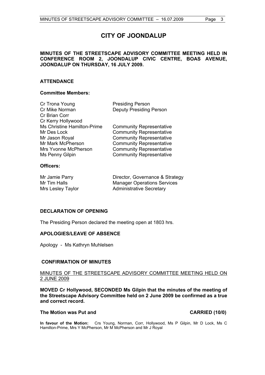# **CITY OF JOONDALUP**

# **MINUTES OF THE STREETSCAPE ADVISORY COMMITTEE MEETING HELD IN CONFERENCE ROOM 2, JOONDALUP CIVIC CENTRE, BOAS AVENUE, JOONDALUP ON THURSDAY, 16 JULY 2009.**

# **ATTENDANCE**

# **Committee Members:**

| Cr Trona Young              | <b>Presiding Person</b>         |
|-----------------------------|---------------------------------|
| Cr Mike Norman              | <b>Deputy Presiding Person</b>  |
| Cr Brian Corr               |                                 |
| Cr Kerry Hollywood          |                                 |
| Ms Christine Hamilton-Prime | <b>Community Representative</b> |
| Mr Des Lock                 | <b>Community Representative</b> |
| Mr Jason Royal              | <b>Community Representative</b> |
| Mr Mark McPherson           | <b>Community Representative</b> |
| Mrs Yvonne McPherson        | <b>Community Representative</b> |
| Ms Penny Gilpin             | <b>Community Representative</b> |
|                             |                                 |

# **Officers:**

| Mr Jamie Parry    | Director, Governance & Strategy    |
|-------------------|------------------------------------|
| Mr Tim Halls      | <b>Manager Operations Services</b> |
| Mrs Lesley Taylor | <b>Administrative Secretary</b>    |

# **DECLARATION OF OPENING**

The Presiding Person declared the meeting open at 1803 hrs.

# **APOLOGIES/LEAVE OF ABSENCE**

Apology - Ms Kathryn Muhlelsen

# **CONFIRMATION OF MINUTES**

# MINUTES OF THE STREETSCAPE ADVISORY COMMITTEE MEETING HELD ON 2 JUNE 2009

**MOVED Cr Hollywood, SECONDED Ms Gilpin that the minutes of the meeting of the Streetscape Advisory Committee held on 2 June 2009 be confirmed as a true and correct record.** 

# The Motion was Put and **CARRIED** (10/0)

**In favour of the Motion:** Crs Young, Norman, Corr, Hollywood, Ms P Gilpin, Mr D Lock, Ms C Hamilton-Prime, Mrs Y McPherson, Mr M McPherson and Mr J Royal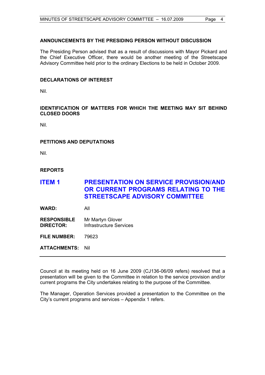# **ANNOUNCEMENTS BY THE PRESIDING PERSON WITHOUT DISCUSSION**

The Presiding Person advised that as a result of discussions with Mayor Pickard and the Chief Executive Officer, there would be another meeting of the Streetscape Advisory Committee held prior to the ordinary Elections to be held in October 2009.

# **DECLARATIONS OF INTEREST**

Nil.

# **IDENTIFICATION OF MATTERS FOR WHICH THE MEETING MAY SIT BEHIND CLOSED DOORS**

Nil.

# **PETITIONS AND DEPUTATIONS**

Nil.

# **REPORTS**

# **ITEM 1 PRESENTATION ON SERVICE PROVISION/AND OR CURRENT PROGRAMS RELATING TO THE STREETSCAPE ADVISORY COMMITTEE**

**WARD:** All

**RESPONSIBLE** Mr Martyn Glover **DIRECTOR:** Infrastructure Services

**FILE NUMBER:** 79623

**ATTACHMENTS:** Nil

Council at its meeting held on 16 June 2009 (CJ136-06/09 refers) resolved that a presentation will be given to the Committee in relation to the service provision and/or current programs the City undertakes relating to the purpose of the Committee.

The Manager, Operation Services provided a presentation to the Committee on the City's current programs and services – Appendix 1 refers.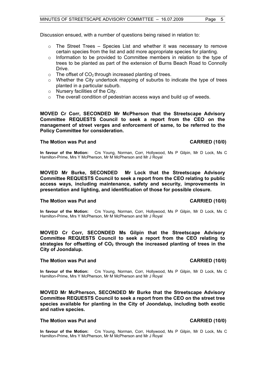Discussion ensued, with a number of questions being raised in relation to:

- $\circ$  The Street Trees Species List and whether it was necessary to remove certain species from the list and add more appropriate species for planting.
- $\circ$  Information to be provided to Committee members in relation to the type of trees to be planted as part of the extension of Burns Beach Road to Connolly **Drive.**
- $\circ$  The offset of CO<sub>2</sub> through increased planting of trees.
- $\circ$  Whether the City undertook mapping of suburbs to indicate the type of trees planted in a particular suburb.
- o Nursery facilities of the City.
- o The overall condition of pedestrian access ways and build up of weeds.

**MOVED Cr Corr, SECONDED Mr McPherson that the Streetscape Advisory Committee REQUESTS Council to seek a report from the CEO on the management of street verges and enforcement of same, to be referred to the Policy Committee for consideration.** 

### The Motion was Put and **CARRIED** (10/0)

# **In favour of the Motion:** Crs Young, Norman, Corr, Hollywood, Ms P Gilpin, Mr D Lock, Ms C Hamilton-Prime, Mrs Y McPherson, Mr M McPherson and Mr J Royal

**MOVED Mr Burke, SECONDED Mr Lock that the Streetscape Advisory Committee REQUESTS Council to seek a report from the CEO relating to public access ways, including maintenance, safety and security, improvements in presentation and lighting, and identification of those for possible closure.** 

### **The Motion was Put and CARRIED (10/0)**

**In favour of the Motion:** Crs Young, Norman, Corr, Hollywood, Ms P Gilpin, Mr D Lock, Ms C Hamilton-Prime, Mrs Y McPherson, Mr M McPherson and Mr J Royal

**MOVED Cr Corr, SECONDED Ms Gilpin that the Streetscape Advisory Committee REQUESTS Council to seek a report from the CEO relating to**  strategies for offsetting of CO<sub>2</sub> through the increased planting of trees in the **City of Joondalup.** 

# **The Motion was Put and CARRIED (10/0)**

**In favour of the Motion:** Crs Young, Norman, Corr, Hollywood, Ms P Gilpin, Mr D Lock, Ms C Hamilton-Prime, Mrs Y McPherson, Mr M McPherson and Mr J Royal

**MOVED Mr McPherson, SECONDED Mr Burke that the Streetscape Advisory Committee REQUESTS Council to seek a report from the CEO on the street tree species available for planting in the City of Joondalup, including both exotic and native species.** 

### **The Motion was Put and CARRIED (10/0)**

**In favour of the Motion:** Crs Young, Norman, Corr, Hollywood, Ms P Gilpin, Mr D Lock, Ms C Hamilton-Prime, Mrs Y McPherson, Mr M McPherson and Mr J Royal